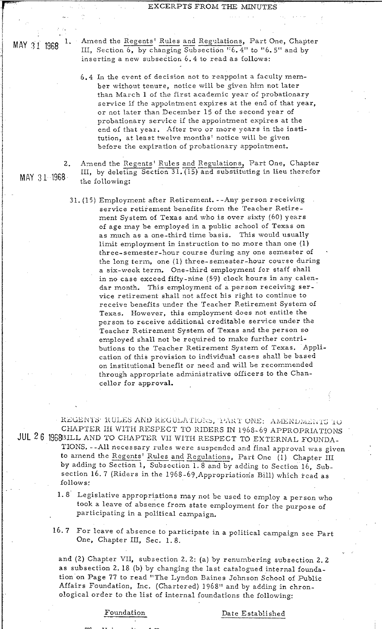EXCERPTS FROM THE MINUTES<br>
MAY 31 1968 <sup>1.</sup> Amend the Regents' Rules and Regulations, Part One, Chapter<br>
III, Section 6, by changing Subsection '6.4" to "6.5" and by<br>
inserting a new subsection 6.4 to read as follows: III, Section  $\overline{6}$ , by changing Subsection  $"6$ . 4" to "6.5" and by inserting a new subsection 6.4 to read as follows:

> 6.4 In the event of decision not to reappoint a faculty member without tenure, notice will be given him not later than March 1 of the first academic year of probationary service if the appointment expires at the end of that year, or not later than December 15 of the second year of probationary service if the appointment expires at the end of that year. After two or more years in the institution, at least twelve months' notice will be given before the expiration of probationary appointment. **2.** Amend the Regents' Rules and Regulations, Part One, Chapter -- TH, by deleting Section 31. (15) and substituting in lieu thereformulations, Part One, Chapter -- TH, by deleting Section 31. (15) and substituting in lie

. .

 $111,$  by deleting Section 31. (15) and substituting in lieu therefor the following:

31. (1 5) Employnent after Retirement. **--Any** per son receiving service retirement benefits from the Teacher Retirement System of Texas and who is over sixty (60) years of age may be employed in a public school of Texas on as much as a one-third time basis. This would usually limit employment in instruction to no more than one  $(1)$ three-semester-hour course during any one semester of . the long term, one (1) three-semester-hour course during a six-week term. One-third employment for staff shall in no case excced fifty-nine (59) clock hours in any calendar month. This employment of a person receiving service retirement shall not affect his right to continue to receive benefits under the Teacher Retirement System of Texas. However, this employment does not entitle the person to receive additional creditable service under the Teacher Retirement System of Texas and the person so employed shall not be required to make further contributions to the Teacher Retirement System of Texas. Application of this provision to individual cases shall be based on institutional benefit or need and will be recommended. through appropriate administrative officers to the Chancellor for approval.

REGENTS' RULES AND REGULATIONS, THART ONE: AMENDMENTS TO CHAPTER III WITH RESPECT TO RIDERS IN 1968-69 APPROPRIATIONS JUL 26 1968BILL AND TO CHAPTER VII WITH RESPECT TO EXTERNAL FOUNDA-TIONS. --All necessary rules were suspendcd and final approval was given CHAPTER III WITH RESPECT TO RIDERS IN 1968-69 APPROPRIATION<br>BILL AND TO CHAPTER VII WITH RESPECT TO EXTERNAL FOUNDA<br>TIONS. --All necessary rules were suspended and final approval was given and the Regents' Rules and Regula section 16.7 (Riders in the 1968-69, Appropriations Bill) which read as follows:

- 1.8 Legislative appropriations may not be used to employ a person who took a leave of absence from state employment for the purpose of participating in a political campaign.
- 16. 7 For leave of absence to participate in a political campaign see Part One, Chapter III, Sec. 1.8.

and (2) Chapter VII, subsection 2. 2: (a) by renumbering subsection 2. 2 as subsection 2. 18 (b) by changing the last catalogued internal foundation on Page 77 to read "The Lyndon Baines Johnson School of Public Affairs Foundation, Inc. (Chartered) 1968" and by adding in chronological order to the list of internal foundations the following:

# Foundation

Date Established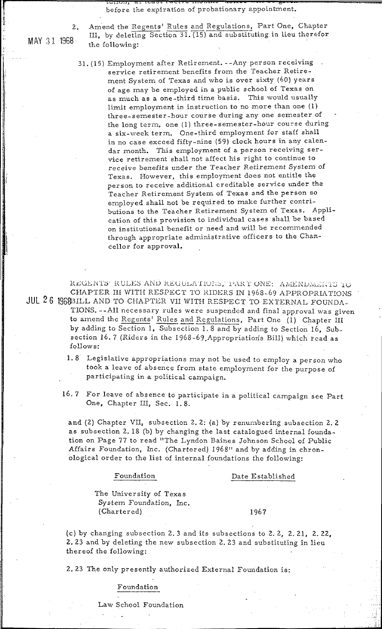before the expiration of probationary appointment.

MAY 31 1968

 $\overline{2}$ .

Amend the Regents' Rules and Regulations, Part One, Chapter III, by deleting Section 31. (15) and substituting in lieu therefor the following:

31. (15) Employment after Retirement. -- Any person receiving service retirement benefits from the Teacher Retirement System of Texas and who is over sixty (60) years of age may be employed in a public school of Texas on as much as a one-third time basis. This would usually limit employment in instruction to no more than one (1) three-semester-hour course during any one semester of the long term, one (1) three-semester-hour course during a six-week term. One-third employment for staff shall in no case exceed fifty-nine (59) clock hours in any calendar month. This employment of a person receiving service retirement shall not affect his right to continue to receive benefits under the Teacher Retirement System of Texas. However, this employment does not entitle the person to receive additional creditable service under the Teacher Retirement System of Texas and the person so employed shall not be required to make further contributions to the Teacher Retirement System of Texas. Application of this provision to individual cases shall be based on institutional benefit or need and will be recommended through appropriate administrative officers to the Chancellor for approval.

REGENTS' RULES AND REGULATIONS, TART ONE: AMENDMENTS TO CHAPTER III WITH RESPECT TO RIDERS IN 1968-69 APPROPRIATIONS JUL 26 1969BILL AND TO CHAPTER VII WITH RESPECT TO EXTERNAL FOUNDA-TIONS. -- All necessary rules were suspended and final approval was given to amend the Regents' Rules and Regulations, Part One (1) Chapter III by adding to Section 1, Subsection 1.8 and by adding to Section 16, Subsection 16.7 (Riders in the 1968-69 Appropriations Bill) which read as follows:

- 1.8 Legislative appropriations may not be used to employ a person who took a leave of absence from state employment for the purpose of participating in a political campaign.
- 16.7 For leave of absence to participate in a political campaign see Part One, Chapter III, Sec. 1.8.

and (2) Chapter VII, subsection 2.2: (a) by renumbering subsection 2.2 as subsection 2.18 (b) by changing the last catalogued internal foundation on Page 77 to read "The Lyndon Baines Johnson School of Public Affairs Foundation, Inc. (Chartered) 1968" and by adding in chronological order to the list of internal foundations the following:

## Foundation

# Date Established

The University of Texas System Foundation, Inc. (Chartered)

### 1967

(c) by changing subsection 2.3 and its subsections to 2.2, 2.21, 2.22, 2.23 and by deleting the new subsection 2.23 and substituting in lieu thereof the following:

2.23 The only presently authorized External Foundation is:

## Foundation

Law School Foundation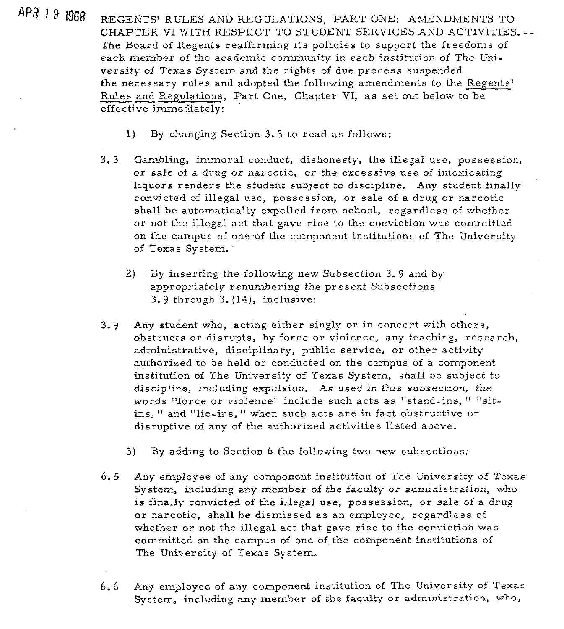APR<sup>19</sup> 1968 REGENTS' RULES AND REGULATIONS, PART ONE: AMENDMENTS TO CHAPTER VI WITH RESPECT TO STUDENT SERVICES AND ACTIVITIES. -- The Board of Regents reaffirming its policies to support the freedoms of each member of the academic community in each institution of The University of Texas System and the rights of due process suspended the necessary rules and adopted the following amendments to the Regents' each member of the academic community in each institution of The Us<br>versity of Texas System and the rights of due process suspended<br>the necessary rules and adopted the following amendments to the <u>Reg</u><br>Rules and Regulation effective immediately:

- **1)** By changing Section **3.3** to read as follows:
- **3. 3** Gambling, immoral conduct, dishonesty, the illegal use, possession, or sale of a drug or narcotic, or the excessive use of intoxicating liquors renders the student subject to discipline. Any student finally convicted of illegal use, possession, or sale of a drug or narcotic shall be automatically expelled from school, regardless of whether or not the illegal act that gave rise to the conviction was committed on the campus of one of the component institutions of The University of Texas System.
	- **2)** By inserting the following new Subsection **3.** 9 and by appropriately renumbering the present Subsections **3.9** through **3.** (14), inclusive:
- **3.9** Any student who, acting either singly or in concert with others, obstructs or disrupts, by force or violence, any teaching, research, administrative, disciplinary, public service, or other activity authorized to be held or conducted on the campus of a component institution of The University of Texas System, shall be subject to discipline, including expulsion. As used in this subsection, the words "force or violence" include such acts as "stand-ins, " "sitins, " and "lie-ins, " when such acts are in fact obstructive or disruptive of any of the authorized activities listed above.
	- **3)** By adding to Section 6 the following two new subsections:
- 6.5 Any employee of any component institution of The University of Texas System, including any member of the faculty or administration, who is finally convicted of the illegal use, possession, or sale of a drug or narcotic, shall be dismissed as an employee, regardless of whether or not the illegal act that gave rise to the conviction was committed on the campus of one of the component institutions of The University of Texas System.
- 6.6 Any employee of any component institution of The University of Texas System, including any member of the faculty or administration, who,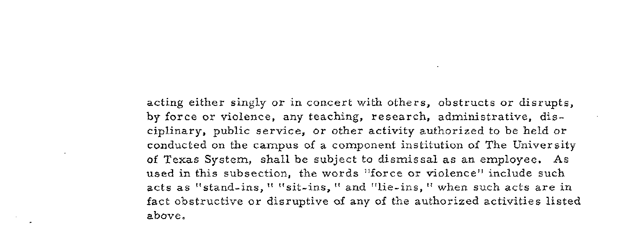acting either singly or in concert with others, obstructs or disrupts, by force or violence, any teaching, research, administrative, disciplinary, public service, or other activity authorized to be held or conducted on the campus of a component institution of The University of Texas System, shall be subject to dismissal as an employee. As used in this subsection, the words "force or violence" include such acts as "stand-ins, " "sit-ins, " and "lie-ins, " when such acts are in fact obstructive or disruptive of any of the authorized activities listed above.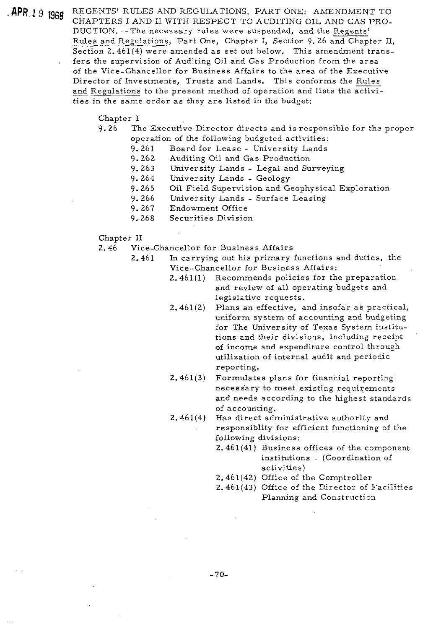**BPR 1 9 BRA** REGENTS' RULES AND REGULATIONS, PART ONE: AMENDMENT TO CHAPTERS I AND I1 WITH RESPECT TO AUDITING OIL AND GAS PRO-DUCTION. --The necessary rules were suspended, and the Regents' REGENTS' RULES AND REGULATIONS, PART ONE: AMENDMENT TO<br>CHAPTERS I AND II WITH RESPECT TO AUDITING OIL AND GAS PRO-<br>DUCTION. --The necessary rules were suspended, and the <u>Regents'</u><br>Rules and Regulations, Part One, Chapter Section 2.461(4) were amended as set out below. This amendment trans- . fers the supervision of Auditing Oil and Gas Production from the area of the Vice-Chancellor for Business Affairs to the area of the Executive REGENTS' RULES AND REGULATIONS, PART ONE: AMENDMENT TO<br>CHAPTERS I AND II WITH RESPECT TO AUDITING OIL AND GAS PRO-<br>DUCTION. --The necessary rules were suspended, and the <u>Regents'</u><br>Rules and Regulations, Part One, Chapter and Regulations to the present method of operation and lists the activities in the same order as they are listed in the budget:

### Chapter I

- 9.26 The Executive Director directs and is responsible for the proper operation of the following budgeted activities:
	- 9.261 Board for Lease University Lands
	- 9.262 Auditing Oil and Gas Production
	- 9.263 University Lands Legal and Surveying
	- 9. 264 University Lands Geology
	- 9.265 Oil Field Supervision and Geophysical Exploration
	- 9.266 University Lands Surface Leasing
	- 9. 267 Endowment Office
	- 9.268 Securities Division
- Chapter I1
- 2.46 Vice-Chancellor for Business Affairs
	- 2.461 In carrying out his primary functions and duties, the Vice-chancellor for Business Affairs:
		- 2.461(1) Recommends policies for the preparation and review of all operating budgets and legislative requests.
		- 2.461 (2) Plans an effective, and insofar a6 practical, uniform system of accounting and budgeting for The University of Texas System institutions and their divisions, including receipt of income and expenditure control through utilization of internal audit and periodic reporting.
		- 2.461(3) Formulates plans for financial reporting' necessary to meet existing requirements and needs according to the highest standards of accounting.
		- 2.461(4) Has direct administrative authority and responsiblity for efficient functioning of the following divisions:
			- 2.461(41) Business offices of the component institutions - (Coordinatior. of activities)
			- 2.461(42) Office of the Comptroller
			- 2.461(43) Office of the Director of Faciiities Planning and Construction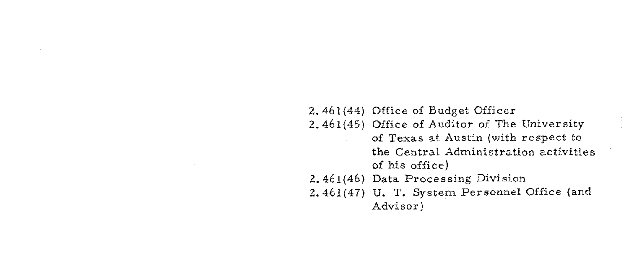2.461(44) Office of Budget Officer 2.461(45) Office of Auditor of The University of Texas **=it** Austin (with respect to the Central Administration activities of his office) 2.461(46) Data Processing Division 2.461(47) U. T. System Personnel Office (and Advisor)

 $\sim 100$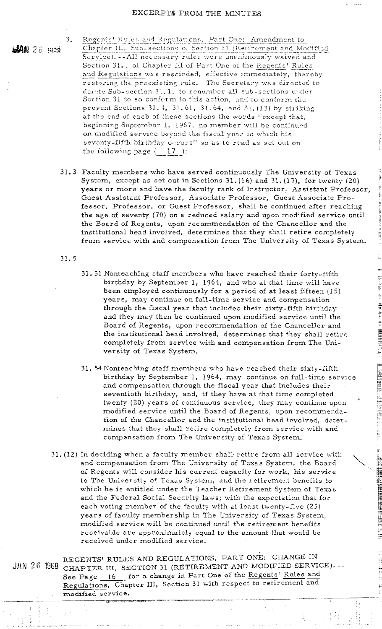$AN$  26 med

 $3<sub>1</sub>$ 

Regents' Rules and Regulations, Part One: Amendment to Chapter III, Sub-sections of Section 31 (Retirement and Modified Service). -- All necessary rules were unanimously waived and Section 31.1 of Chapter III of Part One of the Regents' Rules and Regulations was rescinded, effective immediately, thereby restoring the preexisting rule. The Secretary was directed to denote Sub-section 31.1, to renumber all sub-sections under Section 31 to so conform to this action, and to conform the present Sections 31.4, 31.61, 31.64, and 31.(13) by striking at the end of each of these sections the words "except that, beginning September 1, 1967, no member will be continued on modified service beyond the fiscal year in which his seventy-fifth birthday occurs" so as to read as set out on the following page  $(-17)$ :

- 31.3 Faculty members who have served continuously The University of Texas System, except as set out in Sections 31. (16) and 31. (17), for twenty (20) years or more and have the faculty rank of Instructor, Assistant Professor, Guest Assistant Professor, Associate Professor, Guest Associate Professor, Professor, or Guest Professor, shall be continued after reaching the age of seventy (70) on a reduced salary and upon modified service until the Board of Regents, upon recommendation of the Chancellor and the institutional head involved, determines that they shall retire completely from service with and compensation from The University of Texas System.
- $31.5$
- 31.51 Nonteaching staff members who have reached their forty-fifth birthday by September 1, 1964, and who at that time will have been employed continuously for a period of at least fifteen (15) years, may continue on full-time service and compensation through the fiscal year that includes their sixty-fifth birthday and they may then be continued upon modified service until the Board of Regents, upon recommendation of the Chancellor and the institutional head involved, determines that they shall retire completely from service with and compensation from The University of Texas System.
- 31.54 Nonteaching staff members who have reached their sixty-fifth birthday by September 1, 1964, may continue on full-time service and compensation through the fiscal year that includes their seventieth birthday, and, if they have at that time completed twenty (20) years of continuous service, they may continue upon modified service until the Board of Regents, upon recommendation of the Chancellor and the institutional head involved, determines that they shall retire completely from service with and compensation from The University of Texas System.

第十五章

原理 日本 (日本)

在于时间,我们

**THE REAL PROPERTY CONTROL** 

- 31. (12) In deciding when a faculty member shall retire from all service with and compensation from The University of Texas System, the Board of Regents will consider his current capacity for work, his service to The University of Texas System, and the retirement benefits to which he is entitled under the Teacher Retirement System of Texas and the Federal Social Security laws; with the expectation that for each voting member of the faculty with at least twenty-five (25) years of faculty membership in The University of Texas System, modified service will be continued until the retirement benefits receivable are approximately equal to the amount that would be received under modified service.
- REGENTS' RULES AND REGULATIONS, PART ONE: CHANGE IN JAN 26 1968 CHAPTER III, SECTION 31 (RETIREMENT AND MODIFIED SERVICE).--See Page 16 for a change in Part One of the Regents' Rules and Regulations, Chapter III, Section 31 with respect to retirement and modified service.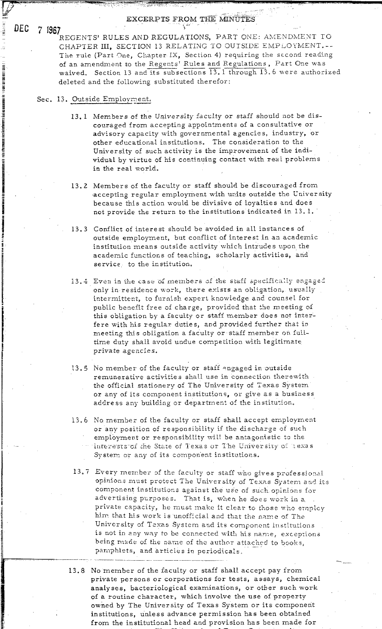REGENTS' RULES AND REGULATIONS, PART ONE: AMENDMENT TO CHAPTER III, SECTION 13 RELATING TO OUTSIDE EMPLOYMENT.--The rule (Part One, Chapter IX, Section 4) requiring the second reading of an amendment to the Regents' Rules and Regulations, Part One was waived. Section 13 and its subsections 13.1 through 13.6 were authorized deleted and the following substituted therefor:

# Sec. 13. Outside Employment.

- 13.1 Members of the University faculty or staff should not be discouraged from accepting appointments of a consultative or advisory capacity with governmental agencies, industry, or other educational institutions. The consideration to the University of such activity is the improvement of the individual by virtue of his continuing contact with real problems in the real world.
- 13.2 Members of the faculty or staff should be discouraged from accepting regular employment with units outside the University because this action would be divisive of loyalties and does not provide the return to the institutions indicated in 13.1.
- 13.3 Conflict of interest should be avoided in all instances of outside employment, but conflict of interest in an academic institution means outside activity which intrudes upon the academic functions of teaching, scholarly activities, and service, to the institution.
- 13.4 Even in the case of members of the staff specifically engaged only in residence work, there exists an obligation, usually intermittent, to furnish expert knowledge and counsel for public benefit free of charge, provided that the meeting of this obligation by a faculty or staff member does not interfere with his regular duties, and provided further that in meeting this obligation a faculty or staff member on fulltime duty shall avoid undue competition with legitimate private agencies.
- 13.5 No member of the faculty or staff engaged in outside remunerative activities shall use in connection therewith the official stationery of The University of Texas System or any of its component institutions, or give as a business address any building or department of the institution.
- 13.6 No member of the faculty or staff shall accept employment or any position of responsibility if the discharge of such employment or responsibility will be antagonistic to the interests of the State of Texas or The University of Lexas System or any of its component institutions.
- 13.7 Every member of the faculty or staff who gives professional opinions must protect The University of Texas System and its component institutions against the use of such opinions for advertising purposes. That is, when he does work in a private capacity, he must make it clear to those who employ him that his work is unofficial and that the name of The University of Texas System and its component institutions is not in any way to be connected with his name, exceptions being made of the name of the author attached to books. pamphlets, and articles in periodicals.
- 13.8 No member of the faculty or staff shall accept pay from private persons or corporations for tests, assays, chemical analyses, bacteriological examinations, or other such work of a routine character, which involve the use of property owned by The University of Texas System or its component institutions, unless advance permission has been obtained from the institutional head and provision has been made for

DEC 7 1967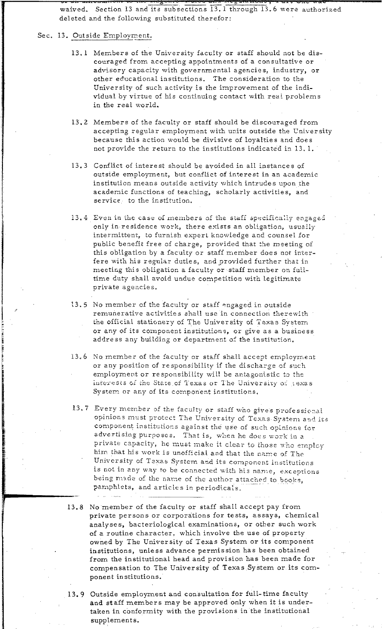waived. Section 13 and its subsections 13. 1 through 13. 6 were authorized deleted and the following substituted therefor:

# Sec. 13. Outside Employment.

- 13.1 Members of the University faculty or staff should not be discouraged from accepting appointments of a consultative or advisory capacity with governmental agencies, industry, or other educational institutions. The consideration to the University of such activity is the improvement of the individual by virtue of his continuing contact with real problems in the real world.
- 13.2 Members of the faculty or staff should be discouraged from accepting regular employment with units outside the University because this action would be divisive of loyalties and does not provide the return to the institutions indicated in 13.1.
- 13.3 Conflict of interest should be avoided in all instances of outside employment, but conflict of interest in an academic institution means outside activity which intrudes upon the academic functions of teaching, scholarly activities, and service, to the institution.
- 13.4 Even in the case of members of the staff specifically engaged only in residence work, there exists an obligation, usually intermittent, to furnish expert knowledge and counsel for public benefit free of charge, provided that the meeting of this obligation by a faculty or staff member does not interfere with his regular duties, and provided further that in meeting this obligation a faculty or staff member on fulltime duty shall avoid undue competition with legitimate private agencies.
- 13.5 No member of the faculty or staff engaged in outside remunerative activities shall use in connection therewith the official stationery of The University of Texas System or any of its component institutions, or give as a business address any building or department of the institution.
- 13.6 No member of the faculty or staff shall accept employment or any position of responsibility if the discharge of such employment or responsibility will be antagonistic to the interests of the State of Texas or The University of texas System or any of its component institutions.
- 13.7 Every member of the faculty or staff who gives professional opinions must protect The University of Texas System and its component institutions against the use of such opinions for advertising purposes. That is, when he does work in a private capacity, he must make it clear to those who employ him that his work is unofficial and that the name of The University of Texas System and its component institutions is not in any way to be connected with his name, exceptions being made of the name of the author attached to books, pamphlets, and articles in periodicals.
- 13.8 No member of the faculty or staff shall accept pay from private persons or corporations for tests, assays, chemical analyses, bacteriological examinations, or other such work of a routine character, which involve the use of property owned by The University of Texas System or its component institutions, unless advance permission has been obtained from the institutional head and provision has been made for compensation to The University of Texas System or its component institutions.
- 13.9 Outside employment and consultation for full-time faculty and staff members may be approved only when it is undertaken in conformity with the provisions in the institutional supplements.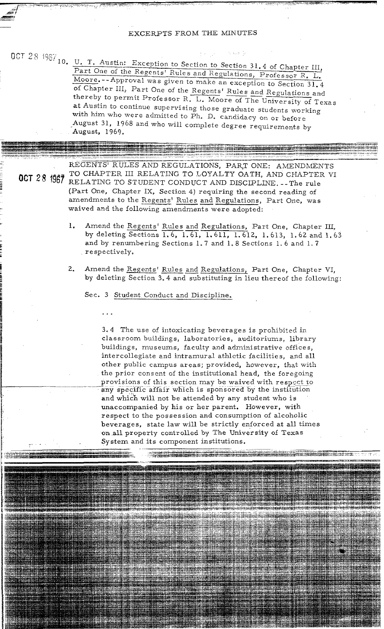### EXCERPTS FROM THE MINUTES

~, ...,

**,m** 

U. T. Austin: Exception to Section to Section 31.4 of Chapter III,  $\frac{\text{Part One of the Regents' Rules and Regulations, Professor R. L.}\text{Moore.}-Approval was given to make an exception to Section 31.4}$ of Chapter III, Part One of the Regents' Rules and Regulations and thereby to permit Professor R. L. Moore of The University of Texas Part One of the Regents' Rules and Regulations, Professor R. L. at Austin to continue supervising those graduate students working with him who were admitted to  $\tilde{P}$ h. D. candidacy on or before August 31, 1968 and who will complete degree requirements by August, 1969.

**MCT 28 1667** TO CHAPTER III RELATING TO LOYALTY OATH, AND CHAPTER VI **UGI 28 1967 RELATING TO STUDENT CONDUCT AND DISCIPLINE. -- The rule** (Part One, Chapter IX, Section 4) requiring the second reading of CEGENIS ROLES AND REGULATIONS, PART ONE: AMENDMENTO CHAPTER III RELATING TO LOYALTY OATH, AND CHAPTER<br>RELATING TO STUDENT CONDUCT AND DISCIPLINE. -- The rule<br>Part One, Chapter IX, Section 4) requiring the second reading of waived and the following amendments were adopted: 1. Amend the Regents' Rules and Regulations, Part One, was<br>
by deleting Sections 1.6, 1.61, 1.611, 1.612, 1.613, 1.62 and 1.63

- and by renumbering Sections 1.7 and 1-8 Sections 1. 6 and 1. 7 respectively. 2. and by renumbering Sections 1.0, 1.01, 1.011, 1.012, 1.015, 1.02 and 1.03<br>and by renumbering Sections 1.7 and 1.8 Sections 1.6 and 1.7<br>respectively.<br>Amend the <u>Regents' Rules and Regulations</u>, Part One, Chapter VI,<br>by d
- by deleting Section 3.4 and substituting in lieu thereof the following:

Sec. **3** Student Conduct and Discipline.

3.4 The use of intoxicating beverages is prohibited in classroom buildings, laboratories, auditoriums, library buildings, museums, faculty and administrative offices, intercollegiate and intramural athletic facilities, and all other public campus areas; provided, however, that with the prior consent of the institutional head, the foregoing he prior consent of the institutional head, the foregoing<br>rovisions of this section may be waived with respect to<br>ry specific affair which is sponsored by the institution any specific affair which is sponsored by the institution and which will not be attended by any student who is unaccompanied by his or her parent. However, with respect to the possession and consumption of alcoholic beverages, state law will be strictly enforced at all times on all property controlled by The University of Texas System and its component institutions.

rt der Journal Hornes og 1944 er hande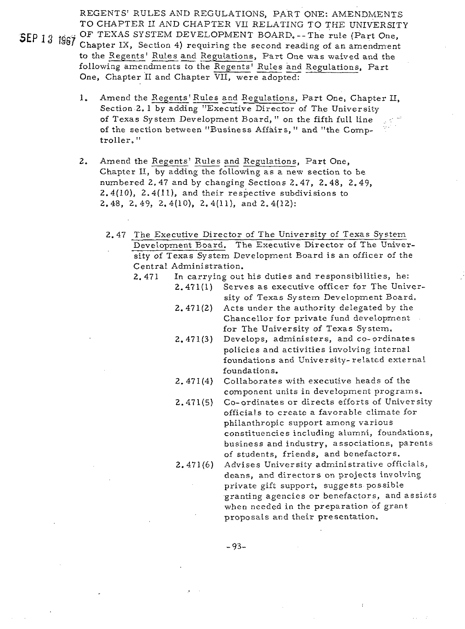REGENTS' RULES AND REGULATIONS, PART ONE: AMENDMENTS TO CHAPTER I1 AND CHAPTER VII RELATING TO THE UNIVERSITY

- SEP 13 1967 OF TEXAS SYSTEM DEVELOPMENT BOARD. -- The rule (Part One, SEP 13 1967 Chapter IX, Section 4) requiring the second reading of an amendment TO CHAPTER II AND CHAPTER VII RELATING TO THE UNIVERSIT.<br>OF TEXAS SYSTEM DEVELOPMENT BOARD.--The rule (Part One,<br>Chapter IX, Section 4) requiring the second reading of an amendmen-<br>to the Regents' Rules and Regulations, Pa OF TEXAS SYSTEM DEVELOPMENT BOARD.--The rule (Part One Chapter IX, Section 4) requiring the second reading of an amendment to the Regents' Rules and Regulations, Part One was waived and the following amendments to the Rege One, Chapter I1 and Chapter VII, were adopted: UF TEANS SISTEM DEVELOPMENT BOAKD. -- The rule (Part One, Chapter IX, Section 4) requiring the second reading of an amendment to the Regents' Rules and Regulations, Part One, Chapter II and Chapter VII, were adopted:<br>1. Am
	- Section 2. 1 by adding "Executive Director of The University of Texas System Development Board," on the fifth full line of the section between "Business Affairs, " and "the Comptroller. "
	- of the section between "Business Affairs," and "the Comp<br>troller."<br>2. Amend the <u>Regents' Rules and Regulations</u>, Part One,<br>Chapter II, by adding the following as a new section to be numbered 2.47 and by changing Sections 2.47, 2.48, 2.49, 2.4(10), 2.4(11), and their respective subdivisions to 2.48, 2.49, 2.4(10), 2.4(11), and 2.4(12):

2.47 The Executive Director of The University of Texas System Development Board. The Executive Director of The University of Texas System Development Board is an officer of the Central Administration.

- 2. 471 In carrying out his duties and responsibilities, he:
	- Serves as executive officer for The Univer- $2,471(1)$ sity of Texas System Development Board.
	- Acts under the authority delegated by the  $2,471(2)$ Chancellor for private fund developrnent for The University of Texas System.
	- Develops, administers, and co-ordinates  $2,471(3)$ policies and activities involving internal foundations and University-related external foundations.
	- $2.471(4)$ Collaborates with executive heads of the component units in development programs.
	- Go-ordinates or directs efforts of University  $2,471(5)$ officials to create a favorable climate for philanthropic support among various constituencies including alumni, foundations, business and industry, associations, parents

 $2.471(6)$ 

of students, friends, and benefactors. Advises University administrative officials, deans, and directors on projects involving private gift support, suggests possible granting agencies or benefactors, and assists when needed in the preparation of grant proposals and their presentation.

 $-93-$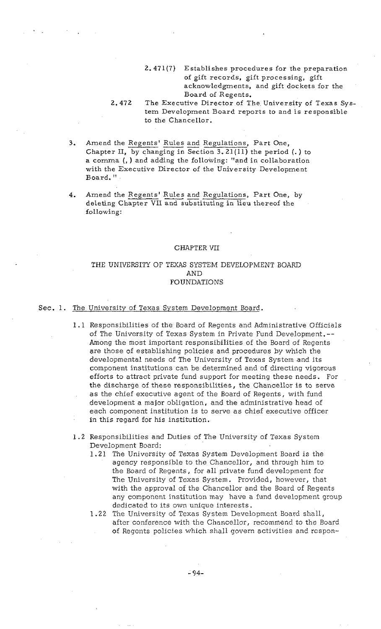2.471(7) Establishes procedures for the preparation of gift records, gift processing, gift acknowledgments, and gift dockets for the Board of Regents.

# 2.472 The Executive Director of The University of Texas System Development Board reports to and is responsible to the Chancellor.

- **2. 13. Per Section And Tensor** Chancellor.<br> **3.** Amend the <u>Regents' Rules and Regulations</u>, Part One, Chapter II, by changing in Section 3.21(11) the period (.) to a comma (, ) and adding the following: "and in collaboration with the Executive Director of the University Development Board. "
- 4. Amend the Regents' Rules and Regulations, Part One, by deleting Chapter VII and substituting in lieu thereof the following:

### CHAPTER VII

# THE UNIVERSITY OF TEXAS SYSTEM DEVELOPMENT BOARD AND FOUNDATIONS

# Sec. 1. The University of Texas System Development Board.

- 1.1 Responsibilities of the Board of Regents and Administrative Officials of The University of Texas System in Private Fund Development.-- Among the most important responsibilities of the Board of Regents are those of establishing policies and procedures by which the developmental needs of The University of Texas System and its component institutions can be determined and of directing vigorous efforts to attract private fund support for meeting these needs. For the discharge of these responsibilities, the Chancellor is to serve as the chief executive agent of the Board of Regents, with fund development a major obligation, and the administrative head of each component institution is to serve as chief executive officer in this regard for his institution.
- 1.2 Responsibilities and Duties of The University of Texas System Development Board:
	- 1.21 The University of Texas System Development Board is the agency responsible to the Chancellor, and through him to the Board of Regents, for all private fund development for The University of Texas System. Provided, however, that with the approval of the Chancellor and the Board of Regents any component institution may have a fund development group dedicated to its own unique interests.
	- 1.22 The University of Texas System Development Board shall, after conference with the Chancellor, recommend to the Board of Regents policies which shall govern activities and respon-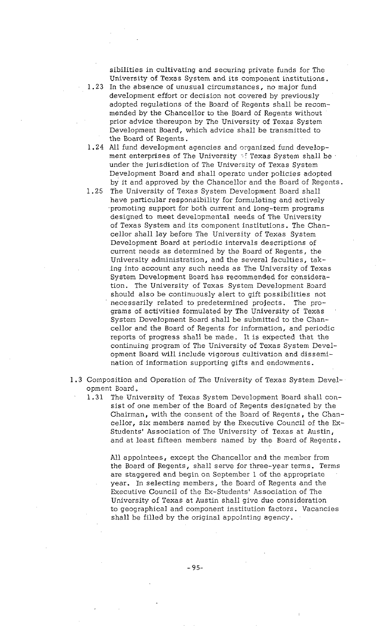sibilities in cultivating and securing private funds for The University of Texas System and its component institutions.

1.23 In the absence of unusual circumstances, no major fund development effort or decision not covered by previously adopted regulations of the Board of Regents shall be recommended by the Chancellor to the Board of Regents without prior advice thereupon by The University of Texas System Development Board, which advice shall be transmitted to the Board of Regents.

- 1.24 All fund development agencies and organized fund development enterprises of The University  $\sim$ : Texas System shall be : under the jurisdiction of The University of Texas System Development Board and shall operate under policies adopted by it and approved by the Chancellor and the Board of Regents.
- 1.25 The University of Texas System Development Board shall have particular responsibility for formulating and actively promoting support for both current' and long-term programs designed to meet developmental needs of The University of Texas System and its component institutions. The Chancellor shall lay before The University of Texas System Development Board at periodic intervals descriptions of current needs as determined by the Board of Regents, the University administration, and the several faculties, taking into account any such needs as The University of Texas System Development Board has recommended for consideration. The University of Texas System Development Board should also be continuously alert to gift possibilities not necessarily related to predetermined projects. The programs of activities formulated by The University of Texas System Development Board shall be submitted to the Chancellor and the Board of Regents for information, and periodic reports of progress shall be made. It is expected that the continuing program of The University of Texas System Development Board will include vigorous cultivation and dissemination of information supporting gifts and endowments.
- 1.3 Composition and Operation of The University of Texas System Development Board.

1.31 The University of Texas System Development Board shall consist of one member of the Board of Regents designated by the Chairman, with the consent of the Board of Regents, the Chancellor, six members named by the Executive Council of the Ex-Students' Association of The University of Texas at Austin, and at least fifteen members named by the Board of Regents.

All appointees, except the Chancellor and the member from the Board of Regents, shall serve for three-year terms. Terms are staggered and begin on September 1 of the appropriate year. In selecting members, the Board of Regents and the Executive Council of the Ex-Students' Association of The University of Texas at Austin shall give due consideration to geographical and component institution factors. Vacancies shall be filled by the original appointing agency.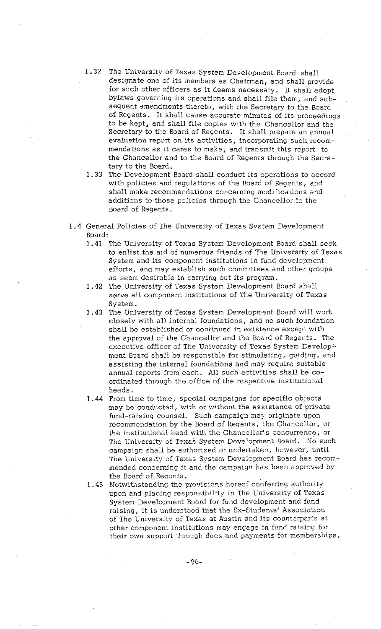- 1.32 The University of Texas System Development Board shall designate one of its members as Chairman, and shall provide for such other officers as it deems necessary. It shall adopt bylaws governing its operations and shall file them, and subsequent amendments thereto, with the Secretary to the Board of Regents. It shall cause accurate minutes of its proceedings to be kept, and shall file copies with the Chancellor and the Secretary to the Board of Regents. It shall prepare an annual evaluation report on its activities, incorporating such recommendations as it cares to make, and transmit this report to the Chancellor and to the Board of Regents through the Secretary to the Board.
- 1.33 The Development Board shall conduct its operations to accord with policies and regulations of the Board of Regents, and shall make recommendations concerning modifications and additions to those policies through the Chancellor to the Board of Regents.
- 1.4 General Policies of The University of Texas System Development Board:
	- 1.41 The University of Texas System Development Board shall seek to enlist the aid of numerous friends of The University of Texas System and its component institutions in fund development efforts, and may establish such committees and other groups as seem desirable in carrying out its program.
	- 1.42 The University of Texas System Development Board shall serve all component institutions of The University of Texas System.
	- 1.43 The University of Texas System Development Board will work closely with all internal foundations, and no such foundation shall be established or continued in existence except with the approval of the Chancellor and the Board of Regents. The executive officer of The University of Texas System Development Board shall be responsible for stimulating, guiding, and assisting the internal foundations and may require suitable annual reports from each. All such activities shall be coordinated through the office of the respective institutional heads.
	- 1.44 From time to time, special campaigns for specific objects may be conducted, with or without the assistance of private fund-raising counsel. Such campaign may originate upon recommendation by the Board of Regents, the Chancellor, or the institutional head with the Chancellor's concurrence, or The University of Texas System Development Board. No such campaign shall be authorized or undertaken, however, until The University of Texas System Development Board has recommended concerning it and the campaign has been approved by the Board of Regents.
	- 1.45 Notwithstanding the provisions hereof conferring authority upon and placing responsibility in The University of Texas System Development Board for fund development and fund raising, it is understood that the Ex-Students' Association of The University of Texas at Austin and its counterparts at other component institutions may engage in fund raising for their own support through dues and payments for memberships,

 $-96-$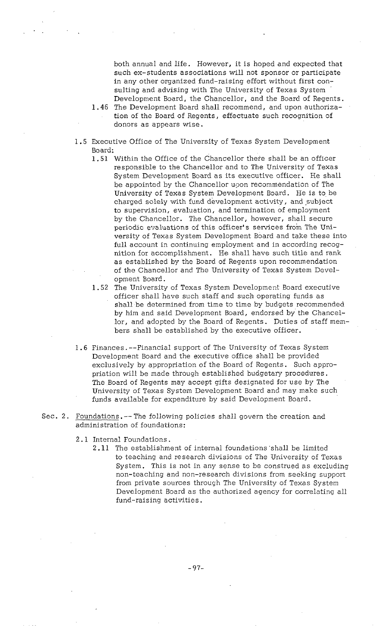both annual and life. However, it is hoped and expected that such ex-students associations will not sponsor or participate in any other organized fund-raising effort without first consulting and advising with The University of Texas System Development Board, the Chancellor, and the Board of Regents.

- 46 The Development Board shall recommend, and upon authorization of the Board of Regents, effectuate such recognition of donors as appears wise.
- 1.5 Executive Office of The University of Texas System Development Board:
	- 1.51 Within the Office of the Chancellor there shall be an officer responsible to the Chancellor and to The University of Texas System Development Board as its executive officer. He shall be appointed by the Chancellor upon recommendation of The University of Texas System Development Board. He is to be charged solely with fund development activity, and subject to supervision, evaluation, and termination of employment by the Chancellor. The Chancellor, however, shall secure periodic evaluations of this officer's services from The University of Texas System Development Board and take these into full account in continuing employment and in according recognition for accomplishment. He shall have such title and rank as established by the Board of Regents upon recommendation of the Chancellor and The University of Texas System Development Board.
	- 1.52 The University of Texas System Development Board executive officer shall have such staff and such operating funds as shall be determined from time to time by budgets recommended by him and said Development Board, endorsed by the Chancellor, and adopted by the Board of Regents. Duties of staff members shall be established by the executive officer.
- 1.6 Finances. --Financial support of The University of Texas System Development Board and the executive office shall be provided exclusively by appropriation of the Board of Regents. Such appropriation will be made through established budgetary procedures. The Board of Regents may accept gifts designated for use by The University of Texas System Development Board and may make such funds available for expenditure by said Development Board.
- Sec. 2. Foundations. -- The following policies shall govern the creation and administration of foundations:
	- 2.1 Internal Foundations.
		- 2.11 The establishment of internal foundations 'shall be limited to teaching and research divisions of The University of Texas System. This is not in any sense to be construed as excluding non-teaching and non-research divisions from seeking support from private sources through The University of Texas System Development Board as the authorized agency for correlating all fund-raising activities.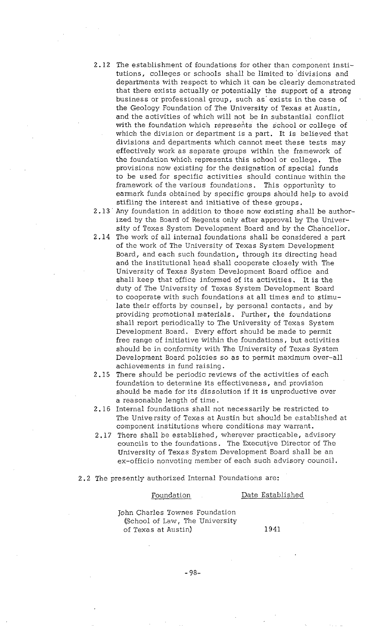2.12 The establishment of foundations for other than component institutions, colleges or schools shall be limited to 'divisions and departments with respect to which it can be clearly demonstrated that there exists actually or potentially the support of a strong business or professional group, such as' exists in the case of the Geology Foundation of The University of Texas at Austin, and the activities of which will not be in substantial conflict with the foundation which represents the school or college of which the division or department is a part. It is believed that divisions and departments which cannot meet these tests may effectively work as separate groups within the framework of the foundation which represents this school or college. The provisions now existing for the designation of special funds to be used for specific activities should continue within the framework of the various foundations. This opportunity to earmark funds obtained by specific groups should help to avoid stifling the interest and initiative of these groups.

2.13 ' Any foundation in addition to those now existing shall be authorized by the Board of Regents only after approval by The University of Texas System Development Board and by the Chancellor.

- 2.14 The work of all internal foundations shall be considered a part of the work of The University of Texas System Development Board, and each such foundation, through its directing head and the institutional head shall cooperate closely with The University of Texas System Development Board office and shall keep that office informed of its activities. It is the duty of The University of Texas System Development Board to cooperate with such foundations at all times and to stimulate their efforts by counsel, by personal contacts, and by providing promotional materials. Further, the foundations shall report periodically to The University of Texas System Development Board. Every effort should be made to permit free range of initiative within the foundations, but activities should be in conformity with The University of Texas System Development Board policies so as to permit maximum over-all achievements in fund raising.
- 2.15 There should be periodic reviews of the activities of each foundation to determine its effectiveness, and provision should be made for its dissolution if it is unproductive over a reasonable length of time.
- 2.16 Internal foundations shall not necessarily be restricted to The University of Texas at Austin but should be established at component institutions where conditions may warrant.
- 2.17 There shall be established, wherever practicable, advisory councils to the foundations. The Executive Director of The University of Texas System Development Board shall be an ex-officio nonvoting member of each such advisory council.

# 2.2 The presently authorized Internal Foundations are:

# Foundation Date Established

John Charles Townes Foundation (School of Law, The University of Texas at Austin) 1941

 $-98-$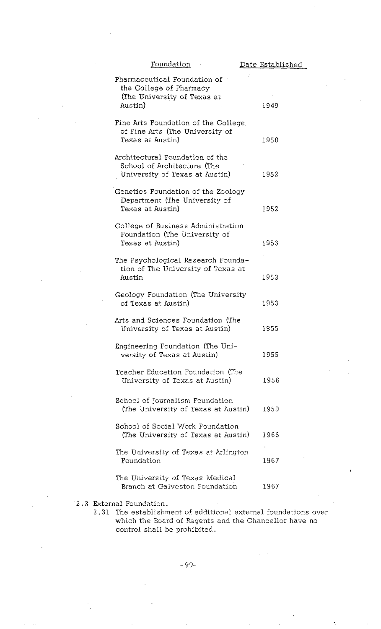| Foundation                                                                                        | Date Established |
|---------------------------------------------------------------------------------------------------|------------------|
| Pharmaceutical Foundation of<br>the College of Pharmacy<br>(The University of Texas at<br>Austin) | 1949             |
| Fine Arts Foundation of the College<br>of Fine Arts (The University of<br>Texas at Austin)        | 1950             |
| Architectural Foundation of the<br>School of Architecture (The<br>University of Texas at Austin)  | 1952             |
| Genetics Foundation of the Zoology<br>Department (The University of<br>Texas at Austin)           | 1952             |
| College of Business Administration<br>Foundation (The University of<br>Texas at Austin)           | 1953             |
| The Psychological Research Founda-<br>tion of The University of Texas at<br>Austin                | 1953             |
| Geology Foundation (The University<br>of Texas at Austin)                                         | 1953             |
| Arts and Sciences Foundation (The<br>University of Texas at Austin)                               | 1955             |
| Engineering Foundation (The Uni-<br>versity of Texas at Austin)                                   | 1955             |
| Teacher Education Foundation (The<br>University of Texas at Austin)                               | 1956             |
| School of Journalism Foundation<br>(The University of Texas at Austin)                            | 1959             |
| School of Social Work Foundation<br>(The University of Texas at Austin)                           | 1966             |
| The University of Texas at Arlington<br>Foundation                                                | 1967             |
| The University of Texas Medical<br>Branch at Galveston Foundation                                 | 1967             |
| rnal Foundation.                                                                                  |                  |

2.3 External Foundation.

2.31 The establishment of additional external foundations over which the Board of Regents and the Chancellor have no control shall be prohibited.